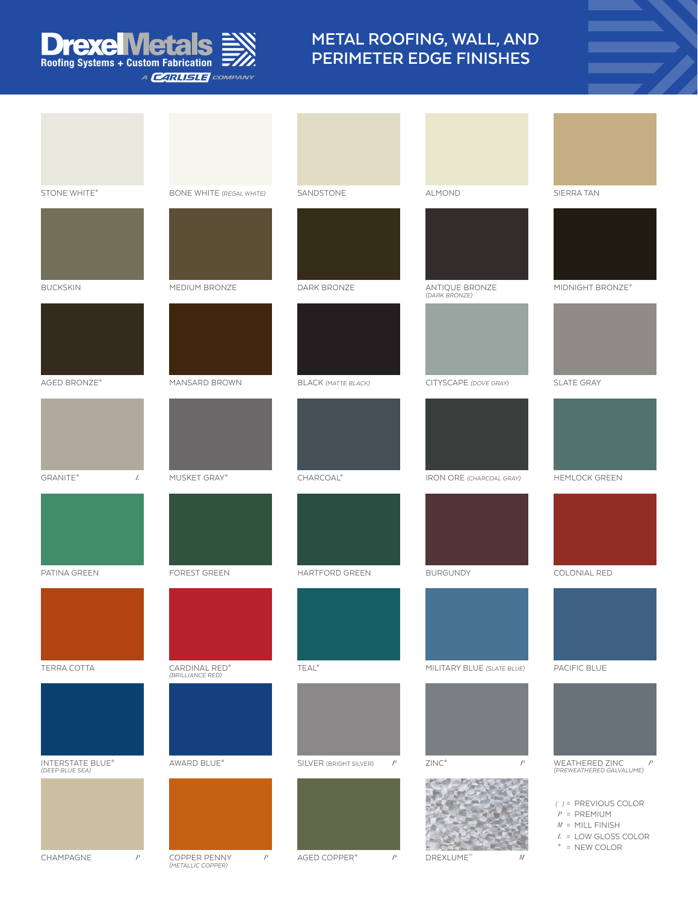## **rexelVietals Roofing Systems + Custom Fabrication** A **CARLISLE** COMPANY

## **METAL ROOFING, WALL, AND PERIMETER EDGE FINISHES**